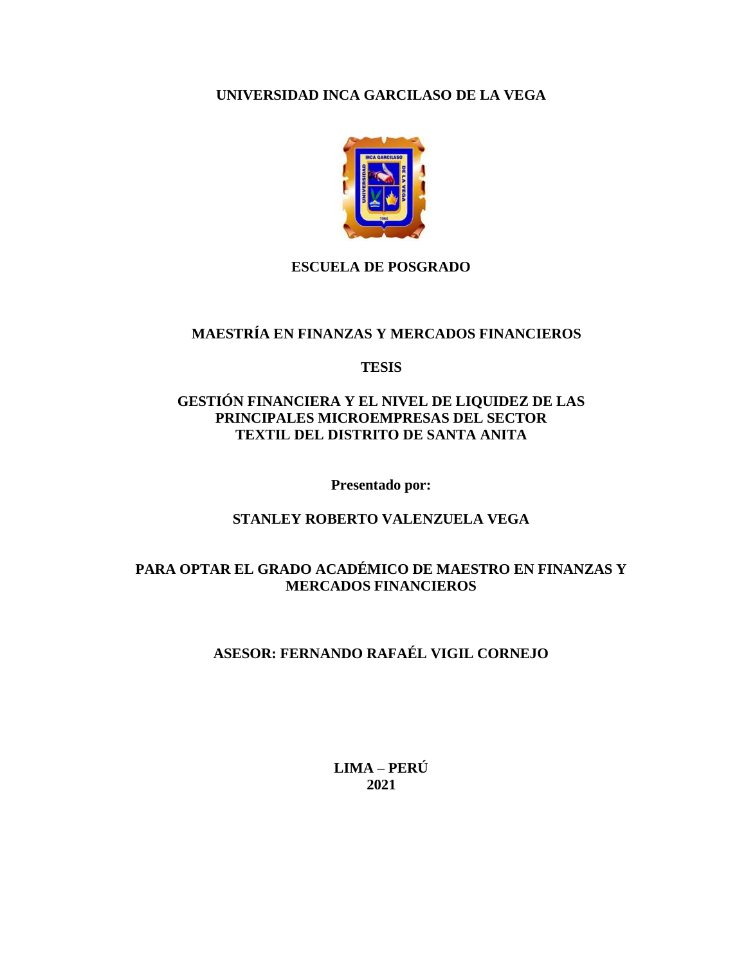## **UNIVERSIDAD INCA GARCILASO DE LA VEGA**



### **ESCUELA DE POSGRADO**

# **MAESTRÍA EN FINANZAS Y MERCADOS FINANCIEROS**

**TESIS**

## **GESTIÓN FINANCIERA Y EL NIVEL DE LIQUIDEZ DE LAS PRINCIPALES MICROEMPRESAS DEL SECTOR TEXTIL DEL DISTRITO DE SANTA ANITA**

**Presentado por:**

**STANLEY ROBERTO VALENZUELA VEGA**

## **PARA OPTAR EL GRADO ACADÉMICO DE MAESTRO EN FINANZAS Y MERCADOS FINANCIEROS**

# **ASESOR: FERNANDO RAFAÉL VIGIL CORNEJO**

**LIMA – PERÚ 2021**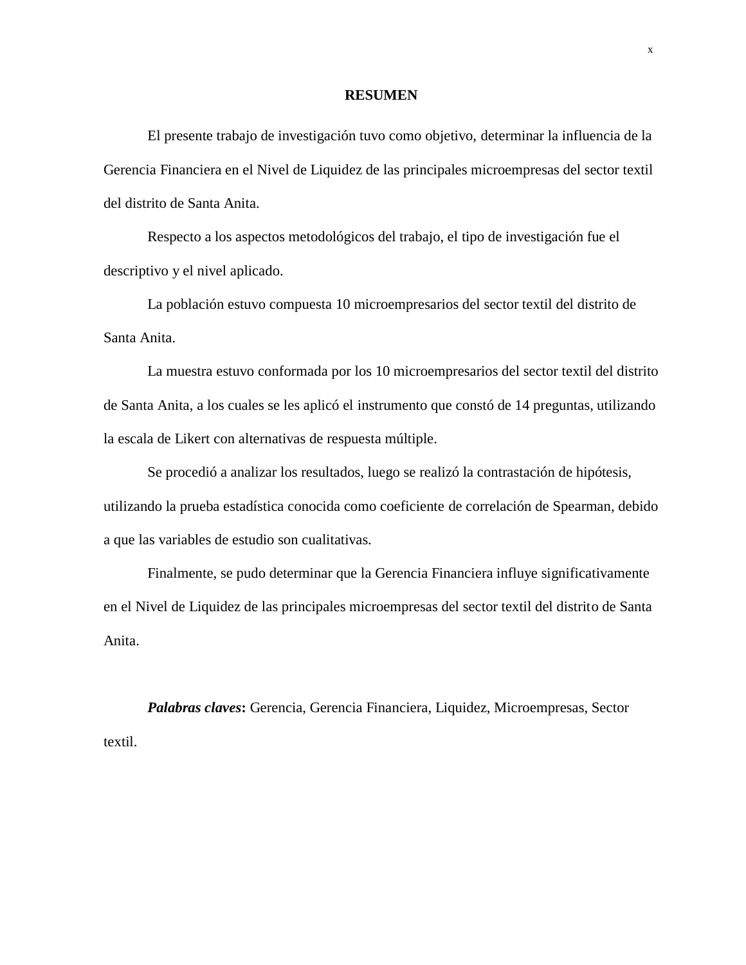#### **RESUMEN**

El presente trabajo de investigación tuvo como objetivo, determinar la influencia de la Gerencia Financiera en el Nivel de Liquidez de las principales microempresas del sector textil del distrito de Santa Anita.

Respecto a los aspectos metodológicos del trabajo, el tipo de investigación fue el descriptivo y el nivel aplicado.

La población estuvo compuesta 10 microempresarios del sector textil del distrito de Santa Anita.

La muestra estuvo conformada por los 10 microempresarios del sector textil del distrito de Santa Anita, a los cuales se les aplicó el instrumento que constó de 14 preguntas, utilizando la escala de Likert con alternativas de respuesta múltiple.

Se procedió a analizar los resultados, luego se realizó la contrastación de hipótesis, utilizando la prueba estadística conocida como coeficiente de correlación de Spearman, debido a que las variables de estudio son cualitativas.

Finalmente, se pudo determinar que la Gerencia Financiera influye significativamente en el Nivel de Liquidez de las principales microempresas del sector textil del distrito de Santa Anita.

*Palabras claves***:** Gerencia, Gerencia Financiera, Liquidez, Microempresas, Sector textil.